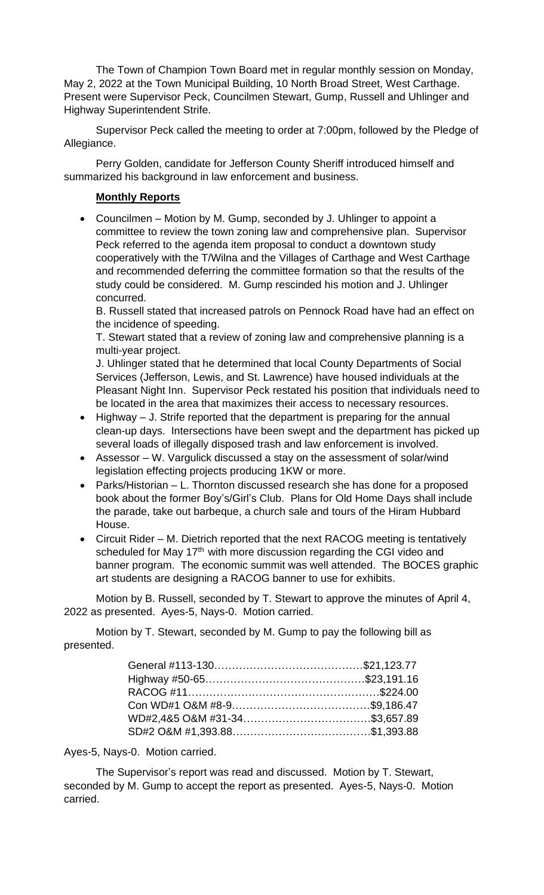The Town of Champion Town Board met in regular monthly session on Monday, May 2, 2022 at the Town Municipal Building, 10 North Broad Street, West Carthage. Present were Supervisor Peck, Councilmen Stewart, Gump, Russell and Uhlinger and Highway Superintendent Strife.

Supervisor Peck called the meeting to order at 7:00pm, followed by the Pledge of Allegiance.

Perry Golden, candidate for Jefferson County Sheriff introduced himself and summarized his background in law enforcement and business.

## **Monthly Reports**

• Councilmen – Motion by M. Gump, seconded by J. Uhlinger to appoint a committee to review the town zoning law and comprehensive plan. Supervisor Peck referred to the agenda item proposal to conduct a downtown study cooperatively with the T/Wilna and the Villages of Carthage and West Carthage and recommended deferring the committee formation so that the results of the study could be considered. M. Gump rescinded his motion and J. Uhlinger concurred.

B. Russell stated that increased patrols on Pennock Road have had an effect on the incidence of speeding.

T. Stewart stated that a review of zoning law and comprehensive planning is a multi-year project.

J. Uhlinger stated that he determined that local County Departments of Social Services (Jefferson, Lewis, and St. Lawrence) have housed individuals at the Pleasant Night Inn. Supervisor Peck restated his position that individuals need to be located in the area that maximizes their access to necessary resources.

- Highway J. Strife reported that the department is preparing for the annual clean-up days. Intersections have been swept and the department has picked up several loads of illegally disposed trash and law enforcement is involved.
- Assessor W. Vargulick discussed a stay on the assessment of solar/wind legislation effecting projects producing 1KW or more.
- Parks/Historian L. Thornton discussed research she has done for a proposed book about the former Boy's/Girl's Club. Plans for Old Home Days shall include the parade, take out barbeque, a church sale and tours of the Hiram Hubbard House.
- Circuit Rider M. Dietrich reported that the next RACOG meeting is tentatively scheduled for May 17<sup>th</sup> with more discussion regarding the CGI video and banner program. The economic summit was well attended. The BOCES graphic art students are designing a RACOG banner to use for exhibits.

Motion by B. Russell, seconded by T. Stewart to approve the minutes of April 4, 2022 as presented. Ayes-5, Nays-0. Motion carried.

Motion by T. Stewart, seconded by M. Gump to pay the following bill as presented.

Ayes-5, Nays-0. Motion carried.

The Supervisor's report was read and discussed. Motion by T. Stewart, seconded by M. Gump to accept the report as presented. Ayes-5, Nays-0. Motion carried.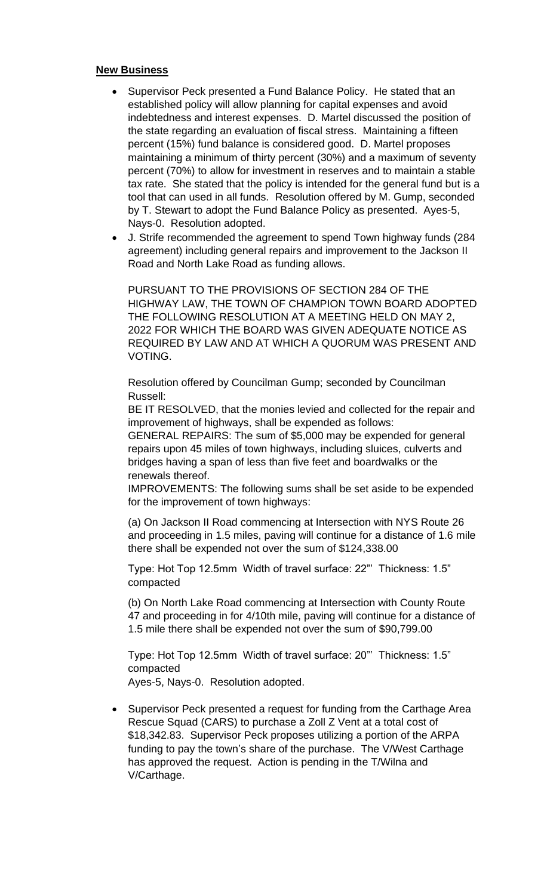## **New Business**

- Supervisor Peck presented a Fund Balance Policy. He stated that an established policy will allow planning for capital expenses and avoid indebtedness and interest expenses. D. Martel discussed the position of the state regarding an evaluation of fiscal stress. Maintaining a fifteen percent (15%) fund balance is considered good. D. Martel proposes maintaining a minimum of thirty percent (30%) and a maximum of seventy percent (70%) to allow for investment in reserves and to maintain a stable tax rate. She stated that the policy is intended for the general fund but is a tool that can used in all funds. Resolution offered by M. Gump, seconded by T. Stewart to adopt the Fund Balance Policy as presented. Ayes-5, Nays-0. Resolution adopted.
- J. Strife recommended the agreement to spend Town highway funds (284 agreement) including general repairs and improvement to the Jackson II Road and North Lake Road as funding allows.

PURSUANT TO THE PROVISIONS OF SECTION 284 OF THE HIGHWAY LAW, THE TOWN OF CHAMPION TOWN BOARD ADOPTED THE FOLLOWING RESOLUTION AT A MEETING HELD ON MAY 2, 2022 FOR WHICH THE BOARD WAS GIVEN ADEQUATE NOTICE AS REQUIRED BY LAW AND AT WHICH A QUORUM WAS PRESENT AND VOTING.

Resolution offered by Councilman Gump; seconded by Councilman Russell:

BE IT RESOLVED, that the monies levied and collected for the repair and improvement of highways, shall be expended as follows:

GENERAL REPAIRS: The sum of \$5,000 may be expended for general repairs upon 45 miles of town highways, including sluices, culverts and bridges having a span of less than five feet and boardwalks or the renewals thereof.

IMPROVEMENTS: The following sums shall be set aside to be expended for the improvement of town highways:

(a) On Jackson II Road commencing at Intersection with NYS Route 26 and proceeding in 1.5 miles, paving will continue for a distance of 1.6 mile there shall be expended not over the sum of \$124,338.00

Type: Hot Top 12.5mm Width of travel surface: 22"' Thickness: 1.5" compacted

(b) On North Lake Road commencing at Intersection with County Route 47 and proceeding in for 4/10th mile, paving will continue for a distance of 1.5 mile there shall be expended not over the sum of \$90,799.00

Type: Hot Top 12.5mm Width of travel surface: 20"' Thickness: 1.5" compacted

- Ayes-5, Nays-0. Resolution adopted.
- Supervisor Peck presented a request for funding from the Carthage Area Rescue Squad (CARS) to purchase a Zoll Z Vent at a total cost of \$18,342.83. Supervisor Peck proposes utilizing a portion of the ARPA funding to pay the town's share of the purchase. The V/West Carthage has approved the request. Action is pending in the T/Wilna and V/Carthage.